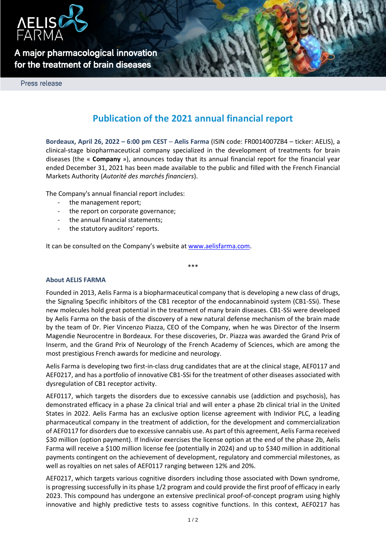

## **A major pharmacological innovation for the treatment of brain diseases**

Press release

# **Publication of the 2021 annual financial report**

**Bordeaux, April 26, 2022 – 6:00 pm CEST** – **Aelis Farma** (ISIN code: FR0014007ZB4 – ticker: AELIS), a clinical-stage biopharmaceutical company specialized in the development of treatments for brain diseases (the « **Company** »), announces today that its annual financial report for the financial year ended December 31, 2021 has been made available to the public and filled with the French Financial Markets Authority (*Autorité des marchés financiers*).

The Company's annual financial report includes:

- the management report;
- the report on corporate governance;
- the annual financial statements;
- the statutory auditors' reports.

It can be consulted on the Company's website a[t www.aelisfarma.com.](http://www.aelisfarma.com/)

## **About AELIS FARMA**

Founded in 2013, Aelis Farma is a biopharmaceutical company that is developing a new class of drugs, the Signaling Specific inhibitors of the CB1 receptor of the endocannabinoid system (CB1-SSi). These new molecules hold great potential in the treatment of many brain diseases. CB1-SSi were developed by Aelis Farma on the basis of the discovery of a new natural defense mechanism of the brain made by the team of Dr. Pier Vincenzo Piazza, CEO of the Company, when he was Director of the Inserm Magendie Neurocentre in Bordeaux. For these discoveries, Dr. Piazza was awarded the Grand Prix of Inserm, and the Grand Prix of Neurology of the French Academy of Sciences, which are among the most prestigious French awards for medicine and neurology.

\*\*\*

Aelis Farma is developing two first-in-class drug candidates that are at the clinical stage, AEF0117 and AEF0217, and has a portfolio of innovative CB1-SSi for the treatment of other diseases associated with dysregulation of CB1 receptor activity.

AEF0117, which targets the disorders due to excessive cannabis use (addiction and psychosis), has demonstrated efficacy in a phase 2a clinical trial and will enter a phase 2b clinical trial in the United States in 2022. Aelis Farma has an exclusive option license agreement with Indivior PLC, a leading pharmaceutical company in the treatment of addiction, for the development and commercialization of AEF0117 for disorders due to excessive cannabis use. As part of this agreement, Aelis Farma received \$30 million (option payment). If Indivior exercises the license option at the end of the phase 2b, Aelis Farma will receive a \$100 million license fee (potentially in 2024) and up to \$340 million in additional payments contingent on the achievement of development, regulatory and commercial milestones, as well as royalties on net sales of AEF0117 ranging between 12% and 20%.

AEF0217, which targets various cognitive disorders including those associated with Down syndrome, is progressing successfully in its phase 1/2 program and could provide the first proof of efficacy in early 2023. This compound has undergone an extensive preclinical proof-of-concept program using highly innovative and highly predictive tests to assess cognitive functions. In this context, AEF0217 has